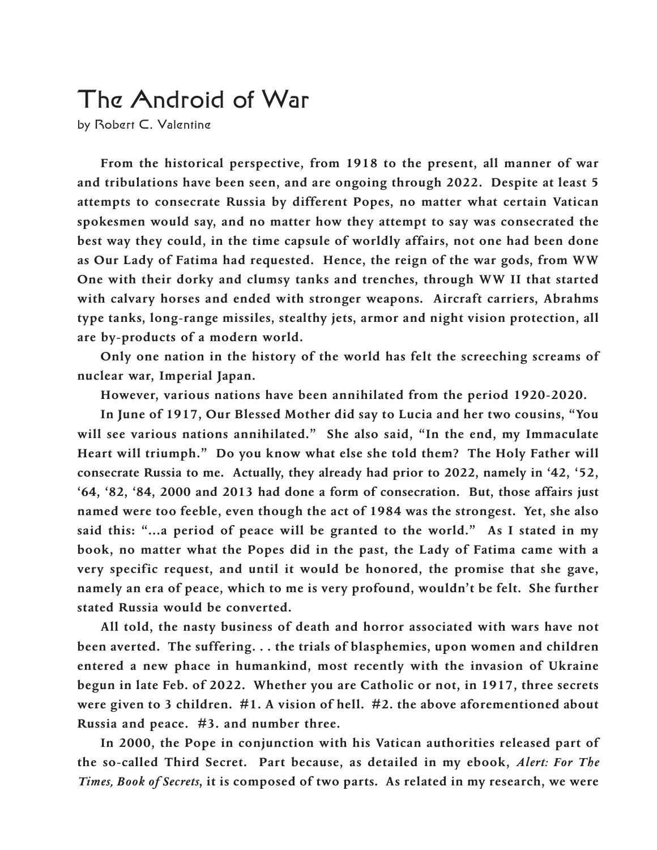## The Android of War

by Robert C. Valentine

**From the historical perspective, from 1918 to the present, all manner of war and tribulations have been seen, and are ongoing through 2022. Despite at least 5 attempts to consecrate Russia by different Popes, no matter what certain Vatican spokesmen would say, and no matter how they attempt to say was consecrated the best way they could, in the time capsule of worldly affairs, not one had been done as Our Lady of Fatima had requested. Hence, the reign of the war gods, from WW One with their dorky and clumsy tanks and trenches, through WW II that started with calvary horses and ended with stronger weapons. Aircraft carriers, Abrahms type tanks, long-range missiles, stealthy jets, armor and night vision protection, all are by-products of a modern world.**

**Only one nation in the history of the world has felt the screeching screams of nuclear war, Imperial Japan.**

**However, various nations have been annihilated from the period 1920-2020.**

**In June of 1917, Our Blessed Mother did say to Lucia and her two cousins, "You will see various nations annihilated." She also said, "In the end, my Immaculate Heart will triumph." Do you know what else she told them? The Holy Father will consecrate Russia to me. Actually, they already had prior to 2022, namely in '42, '52, '64, '82, '84, 2000 and 2013 had done a form of consecration. But, those affairs just named were too feeble, even though the act of 1984 was the strongest. Yet, she also said this: "...a period of peace will be granted to the world." As I stated in my book, no matter what the Popes did in the past, the Lady of Fatima came with a very specific request, and until it would be honored, the promise that she gave, namely an era of peace, which to me is very profound, wouldn't be felt. She further stated Russia would be converted.**

**All told, the nasty business of death and horror associated with wars have not been averted. The suffering. . . the trials of blasphemies, upon women and children entered a new phace in humankind, most recently with the invasion of Ukraine begun in late Feb. of 2022. Whether you are Catholic or not, in 1917, three secrets were given to 3 children. #1. A vision of hell. #2. the above aforementioned about Russia and peace. #3. and number three.**

**In 2000, the Pope in conjunction with his Vatican authorities released part of the so-called Third Secret. Part because, as detailed in my ebook,** *Alert: For The Times, Book of Secrets***, it is composed of two parts. As related in my research, we were**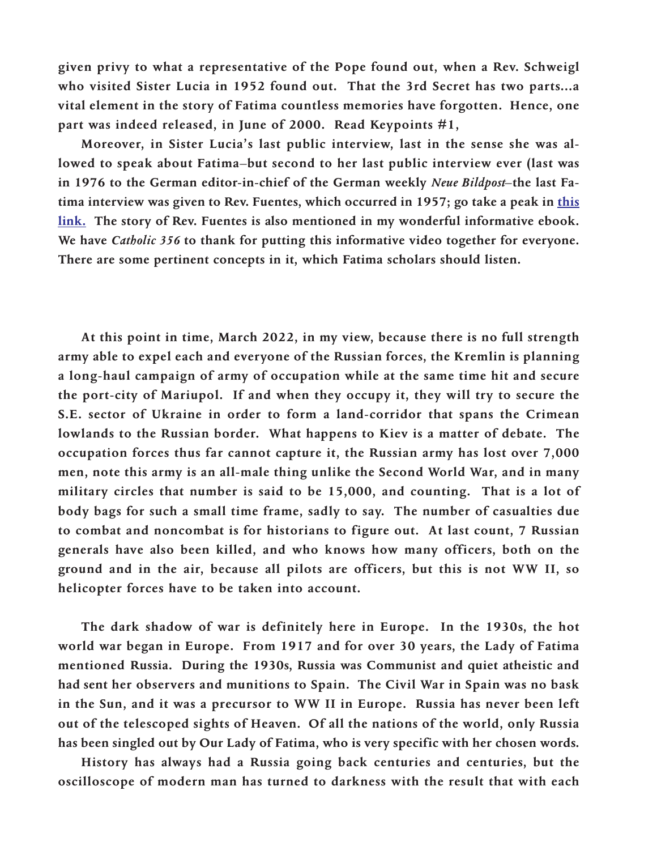**given privy to what a representative of the Pope found out, when a Rev. Schweigl who visited Sister Lucia in 1952 found out. That the 3rd Secret has two parts...a vital element in the story of Fatima countless memories have forgotten. Hence, one part was indeed released, in June of 2000. Read Keypoints #1,**

**Moreover, in Sister Lucia's last public interview, last in the sense she was allowed to speak about Fatima–but second to her last public interview ever (last was in 1976 to the German editor-in-chief of the German weekly** *Neue Bildpost***–the last Fatima interview was given to Rev. Fuentes, which occurred in 1957; go take a peak in [this](https://www.youtube.com/watch?v=jc6k7lf5xL8) [link.](https://www.youtube.com/watch?v=jc6k7lf5xL8) The story of Rev. Fuentes is also mentioned in my wonderful informative ebook. We have** *Catholic 356* **to thank for putting this informative video together for everyone. There are some pertinent concepts in it, which Fatima scholars should listen.**

**At this point in time, March 2022, in my view, because there is no full strength army able to expel each and everyone of the Russian forces, the Kremlin is planning a long-haul campaign of army of occupation while at the same time hit and secure the port-city of Mariupol. If and when they occupy it, they will try to secure the S.E. sector of Ukraine in order to form a land-corridor that spans the Crimean lowlands to the Russian border. What happens to Kiev is a matter of debate. The occupation forces thus far cannot capture it, the Russian army has lost over 7,000 men, note this army is an all-male thing unlike the Second World War, and in many military circles that number is said to be 15,000, and counting. That is a lot of body bags for such a small time frame, sadly to say. The number of casualties due to combat and noncombat is for historians to figure out. At last count, 7 Russian generals have also been killed, and who knows how many officers, both on the ground and in the air, because all pilots are officers, but this is not WW II, so helicopter forces have to be taken into account.**

**The dark shadow of war is definitely here in Europe. In the 1930s, the hot world war began in Europe. From 1917 and for over 30 years, the Lady of Fatima mentioned Russia. During the 1930s, Russia was Communist and quiet atheistic and had sent her observers and munitions to Spain. The Civil War in Spain was no bask in the Sun, and it was a precursor to WW II in Europe. Russia has never been left out of the telescoped sights of Heaven. Of all the nations of the world, only Russia has been singled out by Our Lady of Fatima, who is very specific with her chosen words.**

**History has always had a Russia going back centuries and centuries, but the oscilloscope of modern man has turned to darkness with the result that with each**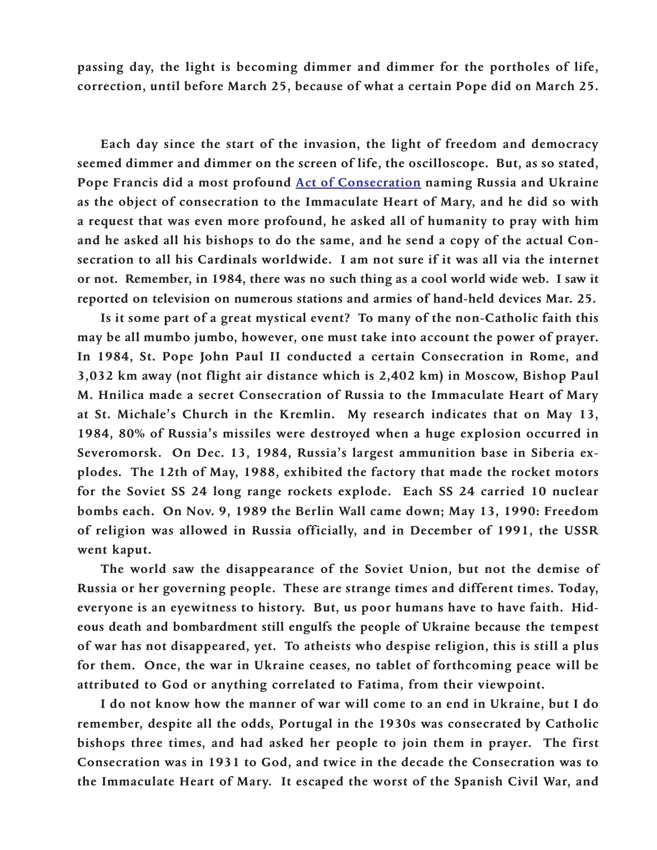**passing day, the light is becoming dimmer and dimmer for the portholes of life, correction, until before March 25, because of what a certain Pope did on March 25.**

**Each day since the start of the invasion, the light of freedom and democracy seemed dimmer and dimmer on the screen of life, the oscilloscope. But, as so stated, Pope Francis did a most profound Act of [Consecration](https://www.youtube.com/watch?v=D01YrVweSMk) naming Russia and Ukraine as the object of consecration to the Immaculate Heart of Mary, and he did so with a request that was even more profound, he asked all of humanity to pray with him and he asked all his bishops to do the same, and he send a copy of the actual Consecration to all his Cardinals worldwide. I am not sure if it was all via the internet or not. Remember, in 1984, there was no such thing as a cool world wide web. I saw it reported on television on numerous stations and armies of hand-held devices Mar. 25.**

**Is it some part of a great mystical event? To many of the non-Catholic faith this may be all mumbo jumbo, however, one must take into account the power of prayer. In 1984, St. Pope John Paul II conducted a certain Consecration in Rome, and 3,032 km away (not flight air distance which is 2,402 km) in Moscow, Bishop Paul M. Hnilica made a secret Consecration of Russia to the Immaculate Heart of Mary at St. Michale's Church in the Kremlin. My research indicates that on May 13, 1984, 80% of Russia's missiles were destroyed when a huge explosion occurred in Severomorsk. On Dec. 13, 1984, Russia's largest ammunition base in Siberia explodes. The 12th of May, 1988, exhibited the factory that made the rocket motors for the Soviet SS 24 long range rockets explode. Each SS 24 carried 10 nuclear bombs each. On Nov. 9, 1989 the Berlin Wall came down; May 13, 1990: Freedom of religion was allowed in Russia officially, and in December of 1991, the USSR went kaput.**

**The world saw the disappearance of the Soviet Union, but not the demise of Russia or her governing people. These are strange times and different times. Today, everyone is an eyewitness to history. But, us poor humans have to have faith. Hideous death and bombardment still engulfs the people of Ukraine because the tempest of war has not disappeared, yet. To atheists who despise religion, this is still a plus for them. Once, the war in Ukraine ceases, no tablet of forthcoming peace will be attributed to God or anything correlated to Fatima, from their viewpoint.**

**I do not know how the manner of war will come to an end in Ukraine, but I do remember, despite all the odds, Portugal in the 1930s was consecrated by Catholic bishops three times, and had asked her people to join them in prayer. The first Consecration was in 1931 to God, and twice in the decade the Consecration was to the Immaculate Heart of Mary. It escaped the worst of the Spanish Civil War, and**